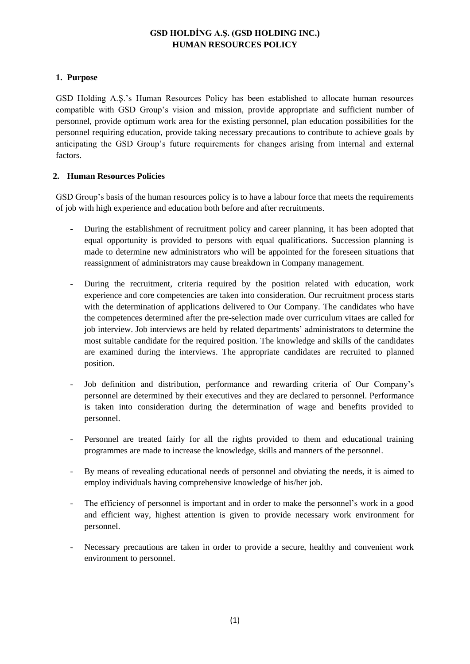# **GSD HOLDİNG A.Ş. (GSD HOLDING INC.) HUMAN RESOURCES POLICY**

### **1. Purpose**

GSD Holding A.Ş.'s Human Resources Policy has been established to allocate human resources compatible with GSD Group's vision and mission, provide appropriate and sufficient number of personnel, provide optimum work area for the existing personnel, plan education possibilities for the personnel requiring education, provide taking necessary precautions to contribute to achieve goals by anticipating the GSD Group's future requirements for changes arising from internal and external factors.

#### **2. Human Resources Policies**

GSD Group's basis of the human resources policy is to have a labour force that meets the requirements of job with high experience and education both before and after recruitments.

- During the establishment of recruitment policy and career planning, it has been adopted that equal opportunity is provided to persons with equal qualifications. Succession planning is made to determine new administrators who will be appointed for the foreseen situations that reassignment of administrators may cause breakdown in Company management.
- During the recruitment, criteria required by the position related with education, work experience and core competencies are taken into consideration. Our recruitment process starts with the determination of applications delivered to Our Company. The candidates who have the competences determined after the pre-selection made over curriculum vitaes are called for job interview. Job interviews are held by related departments' administrators to determine the most suitable candidate for the required position. The knowledge and skills of the candidates are examined during the interviews. The appropriate candidates are recruited to planned position.
- Job definition and distribution, performance and rewarding criteria of Our Company's personnel are determined by their executives and they are declared to personnel. Performance is taken into consideration during the determination of wage and benefits provided to personnel.
- Personnel are treated fairly for all the rights provided to them and educational training programmes are made to increase the knowledge, skills and manners of the personnel.
- By means of revealing educational needs of personnel and obviating the needs, it is aimed to employ individuals having comprehensive knowledge of his/her job.
- The efficiency of personnel is important and in order to make the personnel's work in a good and efficient way, highest attention is given to provide necessary work environment for personnel.
- Necessary precautions are taken in order to provide a secure, healthy and convenient work environment to personnel.